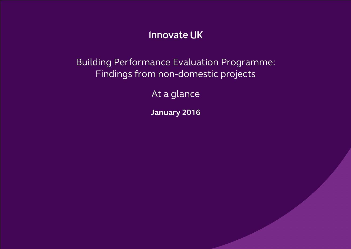### **Innovate UK**

Building Performance Evaluation Programme: Findings from non-domestic projects

At a glance

**January 2016**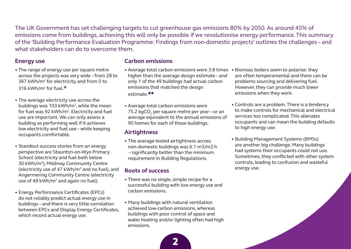The UK Government has set challenging targets to cut greenhouse gas emissions 80% by 2050. As around 45% of emissions come from buildings, achieving this will only be possible if we revolutionise energy performance. This summary of the 'Building Performance Evaluation Programme: Findings from non-domestic projects' outlines the challenges – and what stakeholders can do to overcome them.

### **Energy use**

- The range of energy use per square metre across the projects was very wide – from 28 to 367 kWh/m2 for electricity, and from 0 to 316 kWh/m<sup>2</sup> for fuel. $\star$
- The average electricity use across the buildings was 103 kWh/ $m^2$ , while the mean for fuel was 92 kWh/m2. Electricity and fuel use are important. We can only assess a building as performing well if it achieves low electricity and fuel use – while keeping occupants comfortable.
- Standout success stories from an energy perspective are Staunton-on-Wye Primary School (electricity and fuel both below 30 kWh/m2), Mildmay Community Centre (electricity use of 47 kWh/m2 and no fuel), and Angermering Community Centre (electricity use of 49 kWh/ $m^2$  and again no fuel).
- Energy Performance Certificates (EPCs) do not reliably predict actual energy use in buildings – and there is very little correlation between EPCs and Display Energy Certificates, which record actual energy use.

#### **Carbon emissions**

- Average total carbon emissions were 3.8 times Biomass boilers seem to polarise: they higher than the average design estimate – and only 1 of the 49 buildings had actual carbon emissions that matched the design estimate.\*\*
- Average total carbon emissions were 75.2 kgCO<sub>2</sub> per square metre per year - or an average equivalent to the annual emissions of 90 homes for each of these buildings.

#### **Airtightness**

• The average tested airtightness across non-domestic buildings was 6.1 m3/m2.h – significantly better than the minimum requirement in Building Regulations.

### **Roots of success**

- There was no single, simple recipe for a successful building with low energy use and carbon emissions.
- Many buildings with natural ventilation achieved low-carbon emissions, whereas buildings with poor control of space and water heating and/or lighting often had high emissions.
- are often temperamental and there can be problems sourcing and delivering fuel. However, they can provide much lower emissions when they work.
- Controls are a problem. There is a tendency to make controls for mechanical and electrical services too complicated. This alienates occupants and can mean the building defaults to high energy use.
- Building Management Systems (BMSs) are another big challenge. Many buildings had systems their occupants could not use. Sometimes, they conflicted with other system controls, leading to confusion and wasteful energy use.

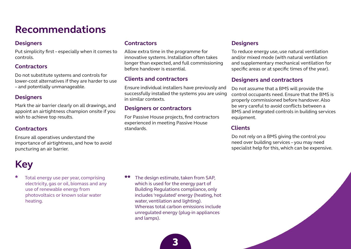### **Recommendations**

### **Designers**

Put simplicity first – especially when it comes to controls.

### **Contractors**

Do not substitute systems and controls for lower-cost alternatives if they are harder to use – and potentially unmanageable.

### **Designers**

Mark the air barrier clearly on all drawings, and appoint an airtightness champion onsite if you wish to achieve top results.

### **Contractors**

Ensure all operatives understand the importance of airtightness, and how to avoid puncturing an air barrier.

## **Key**

Total energy use per year, comprising electricity, gas or oil, biomass and any use of renewable energy from photovoltaics or known solar water heating.

### **Contractors**

Allow extra time in the programme for innovative systems. Installation often takes longer than expected, and full commissioning before handover is essential.

### **Clients and contractors**

Ensure individual installers have previously and successfully installed the systems you are using in similar contexts.

### **Designers or contractors**

For Passive House projects, find contractors experienced in meeting Passive House standards.

### **Designers**

To reduce energy use, use natural ventilation and/or mixed mode (with natural ventilation and supplementary mechanical ventilation for specific areas or at specific times of the year).

### **Designers and contractors**

Do not assume that a BMS will provide the control occupants need. Ensure that the BMS is properly commissioned before handover. Also be very careful to avoid conflicts between a BMS and integrated controls in building services equipment.

### **Clients**

Do not rely on a BMS giving the control you need over building services – you may need specialist help for this, which can be expensive.

The design estimate, taken from SAP, which is used for the energy part of Building Regulations compliance, only includes 'regulated' energy (heating, hot water, ventilation and lighting). Whereas total carbon emissions include unregulated energy (plug-in appliances and lamps).